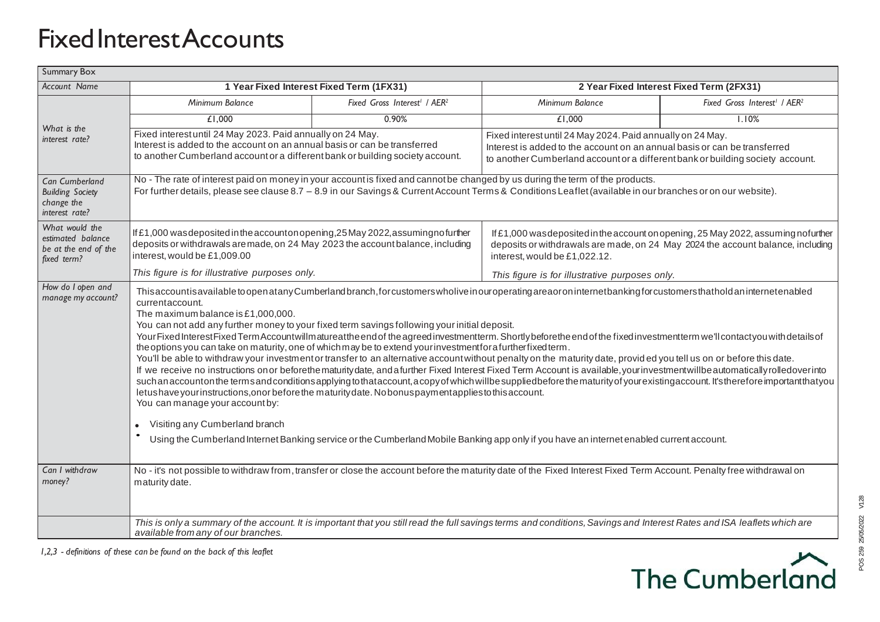## Fixed Interest Accounts

| <b>Summary Box</b>                                                                                                                                                               |                                                                                                                                                                                        |                                                                                                                                                                                                                                                                                      |                                                                                    |                                                      |
|----------------------------------------------------------------------------------------------------------------------------------------------------------------------------------|----------------------------------------------------------------------------------------------------------------------------------------------------------------------------------------|--------------------------------------------------------------------------------------------------------------------------------------------------------------------------------------------------------------------------------------------------------------------------------------|------------------------------------------------------------------------------------|------------------------------------------------------|
| <b>Account Name</b>                                                                                                                                                              | 1 Year Fixed Interest Fixed Term (1FX31)                                                                                                                                               |                                                                                                                                                                                                                                                                                      | 2 Year Fixed Interest Fixed Term (2FX31)                                           |                                                      |
| What is the<br>interest rate?                                                                                                                                                    | Minimum Balance                                                                                                                                                                        | Fixed Gross Interest <sup>1</sup> / AER <sup>2</sup>                                                                                                                                                                                                                                 | Minimum Balance                                                                    | Fixed Gross Interest <sup>1</sup> / AER <sup>2</sup> |
|                                                                                                                                                                                  | £1,000                                                                                                                                                                                 | 0.90%                                                                                                                                                                                                                                                                                | £1,000                                                                             | 1.10%                                                |
|                                                                                                                                                                                  | Fixed interest until 24 May 2023. Paid annually on 24 May.                                                                                                                             |                                                                                                                                                                                                                                                                                      | Fixed interest until 24 May 2024. Paid annually on 24 May.                         |                                                      |
|                                                                                                                                                                                  | Interest is added to the account on an annual basis or can be transferred<br>to another Cumberland account or a different bank or building society account.                            |                                                                                                                                                                                                                                                                                      | Interest is added to the account on an annual basis or can be transferred          |                                                      |
|                                                                                                                                                                                  |                                                                                                                                                                                        |                                                                                                                                                                                                                                                                                      | to another Cumberland account or a different bank or building society account.     |                                                      |
| Can Cumberland                                                                                                                                                                   | No - The rate of interest paid on money in your account is fixed and cannot be changed by us during the term of the products.                                                          |                                                                                                                                                                                                                                                                                      |                                                                                    |                                                      |
| <b>Building Society</b><br>change the                                                                                                                                            | For further details, please see clause 8.7 - 8.9 in our Savings & Current Account Terms & Conditions Leaflet (available in our branches or on our website).                            |                                                                                                                                                                                                                                                                                      |                                                                                    |                                                      |
| interest rate?                                                                                                                                                                   |                                                                                                                                                                                        |                                                                                                                                                                                                                                                                                      |                                                                                    |                                                      |
| What would the<br>estimated balance<br>be at the end of the<br>fixed term?                                                                                                       | If £1,000 was deposited in the accounton opening, 25 May 2022, assuming no further                                                                                                     |                                                                                                                                                                                                                                                                                      | If £1,000 was deposited in the account on opening, 25 May 2022, assuming nofurther |                                                      |
|                                                                                                                                                                                  | deposits or withdrawals are made, on 24 May 2023 the account balance, including                                                                                                        |                                                                                                                                                                                                                                                                                      | deposits or withdrawals are made, on 24 May 2024 the account balance, including    |                                                      |
|                                                                                                                                                                                  | interest, would be £1,009.00                                                                                                                                                           |                                                                                                                                                                                                                                                                                      | interest, would be £1,022.12.                                                      |                                                      |
|                                                                                                                                                                                  | This figure is for illustrative purposes only.                                                                                                                                         |                                                                                                                                                                                                                                                                                      | This figure is for illustrative purposes only.                                     |                                                      |
| How do I open and<br>manage my account?                                                                                                                                          | This account is available to open at any Cumberland branch, for customers wholive in our operating are aor on internet banking for customers that hold an internetenabled              |                                                                                                                                                                                                                                                                                      |                                                                                    |                                                      |
|                                                                                                                                                                                  | currentaccount.<br>The maximum balance is £1,000,000.                                                                                                                                  |                                                                                                                                                                                                                                                                                      |                                                                                    |                                                      |
|                                                                                                                                                                                  |                                                                                                                                                                                        | You can not add any further money to your fixed term savings following your initial deposit.                                                                                                                                                                                         |                                                                                    |                                                      |
|                                                                                                                                                                                  | Your Fixed Interest Fixed Term Account will matureat the end of the agreed investment term. Shortly before the end of the fixed investment term we'll contactyou with details of       |                                                                                                                                                                                                                                                                                      |                                                                                    |                                                      |
|                                                                                                                                                                                  |                                                                                                                                                                                        | the options you can take on maturity, one of which may be to extend your investment for a further fixed term.<br>You'll be able to withdraw your investment or transfer to an alternative account without penalty on the maturity date, provided you tell us on or before this date. |                                                                                    |                                                      |
| If we receive no instructions on or beforethe maturity date, and a further Fixed Interest Fixed Term Account is available, your investment will be automatically rolledover into |                                                                                                                                                                                        |                                                                                                                                                                                                                                                                                      |                                                                                    |                                                      |
|                                                                                                                                                                                  | such an accounton the terms and conditions applying to thataccount, a copy of which willbe suppliedbefore the maturity of your existing account. It's therefore important that you     |                                                                                                                                                                                                                                                                                      |                                                                                    |                                                      |
|                                                                                                                                                                                  | letushave yourinstructions, onor before the maturity date. No bonus payment applies to this account.<br>You can manage your account by:                                                |                                                                                                                                                                                                                                                                                      |                                                                                    |                                                      |
|                                                                                                                                                                                  |                                                                                                                                                                                        |                                                                                                                                                                                                                                                                                      |                                                                                    |                                                      |
|                                                                                                                                                                                  | Visiting any Cumberland branch                                                                                                                                                         |                                                                                                                                                                                                                                                                                      |                                                                                    |                                                      |
|                                                                                                                                                                                  | Using the Cumberland Internet Banking service or the Cumberland Mobile Banking app only if you have an internet enabled current account.                                               |                                                                                                                                                                                                                                                                                      |                                                                                    |                                                      |
|                                                                                                                                                                                  |                                                                                                                                                                                        |                                                                                                                                                                                                                                                                                      |                                                                                    |                                                      |
| Can I withdraw<br>money?                                                                                                                                                         | No - it's not possible to withdraw from, transfer or close the account before the maturity date of the Fixed Interest Fixed Term Account. Penalty free withdrawal on<br>maturity date. |                                                                                                                                                                                                                                                                                      |                                                                                    |                                                      |
|                                                                                                                                                                                  |                                                                                                                                                                                        |                                                                                                                                                                                                                                                                                      |                                                                                    |                                                      |
|                                                                                                                                                                                  |                                                                                                                                                                                        |                                                                                                                                                                                                                                                                                      |                                                                                    |                                                      |
|                                                                                                                                                                                  | This is only a summary of the account. It is important that you still read the full savings terms and conditions, Savings and Interest Rates and ISA leaflets which are                |                                                                                                                                                                                                                                                                                      |                                                                                    |                                                      |
|                                                                                                                                                                                  | available from any of our branches.                                                                                                                                                    |                                                                                                                                                                                                                                                                                      |                                                                                    |                                                      |

*1,2,3 - definitions of these can be found on the back of this leaflet*